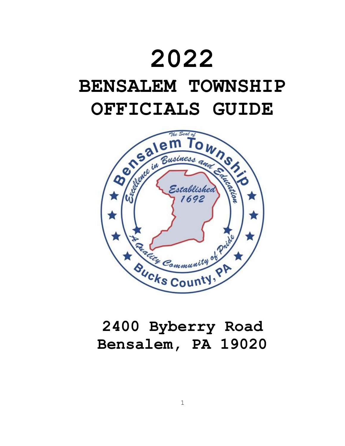# **2022**

## **BENSALEM TOWNSHIP OFFICIALS GUIDE**



### **2400 Byberry Road Bensalem, PA 19020**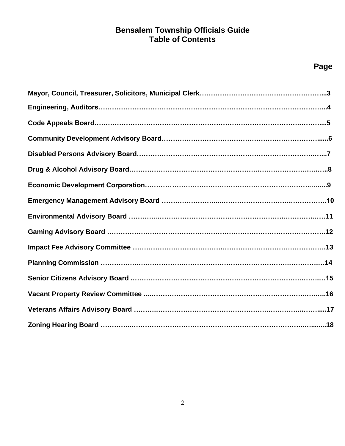#### **Bensalem Township Officials Guide Table of Contents**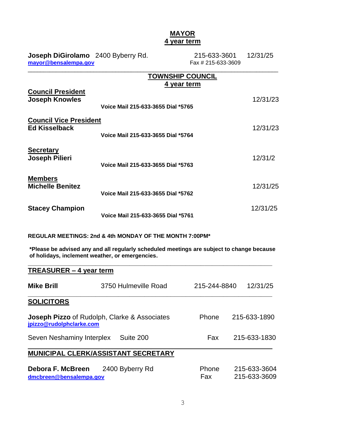#### **MAYOR 4 year term**

| Joseph DiGirolamo 2400 Byberry Rd.<br>mayor@bensalempa.gov |                                                         | 215-633-3601<br>Fax # 215-633-3609     | 12/31/25 |
|------------------------------------------------------------|---------------------------------------------------------|----------------------------------------|----------|
|                                                            |                                                         | <b>TOWNSHIP COUNCIL</b><br>4 year term |          |
| <b>Council President</b><br><b>Joseph Knowles</b>          | Voice Mail 215-633-3655 Dial *5765                      |                                        | 12/31/23 |
| <b>Council Vice President</b><br><b>Ed Kisselback</b>      | Voice Mail 215-633-3655 Dial *5764                      |                                        | 12/31/23 |
| <b>Secretary</b><br><b>Joseph Pilieri</b>                  | Voice Mail 215-633-3655 Dial *5763                      |                                        | 12/31/2  |
| <b>Members</b><br><b>Michelle Benitez</b>                  | Voice Mail 215-633-3655 Dial *5762                      |                                        | 12/31/25 |
| <b>Stacey Champion</b>                                     | Voice Mail 215-633-3655 Dial *5761                      |                                        | 12/31/25 |
|                                                            | REGULAR MEETINGS: 2nd & 4th MONDAY OF THE MONTH 7:00PM* |                                        |          |

**\*Please be advised any and all regularly scheduled meetings are subject to change because of holidays, inclement weather, or emergencies.**

| <b>TREASURER – 4 year term</b>               |                                                     |                     |                              |
|----------------------------------------------|-----------------------------------------------------|---------------------|------------------------------|
| Mike Brill                                   | 3750 Hulmeville Road                                | 215-244-8840        | 12/31/25                     |
| <b>SOLICITORS</b>                            |                                                     |                     |                              |
| jpizzo@rudolphclarke.com                     | <b>Joseph Pizzo</b> of Rudolph, Clarke & Associates | Phone               | 215-633-1890                 |
| Seven Neshaminy Interplex                    | Suite 200                                           | Fax                 | 215-633-1830                 |
|                                              | <b>MUNICIPAL CLERK/ASSISTANT SECRETARY</b>          |                     |                              |
| Debora F. McBreen<br>dmcbreen@bensalempa.gov | 2400 Byberry Rd                                     | Phone<br><b>Fax</b> | 215-633-3604<br>215-633-3609 |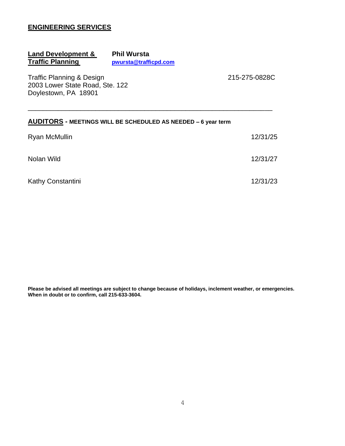#### **ENGINEERING SERVICES**

#### **Land Development & Phil Wursta<br>
<b>Traffic Planning bruits by Province Praffic Traffic Planning [pwursta@trafficpd.com](mailto:pwursta@trafficpd.com)**

Traffic Planning & Design 215-275-0828C 2003 Lower State Road, Ste. 122 Doylestown, PA 18901

#### **AUDITORS - MEETINGS WILL BE SCHEDULED AS NEEDED – 6 year term**

| Ryan McMullin     | 12/31/25 |
|-------------------|----------|
| Nolan Wild        | 12/31/27 |
| Kathy Constantini | 12/31/23 |

\_\_\_\_\_\_\_\_\_\_\_\_\_\_\_\_\_\_\_\_\_\_\_\_\_\_\_\_\_\_\_\_\_\_\_\_\_\_\_\_\_\_\_\_\_\_\_\_\_\_\_\_\_\_\_\_\_\_\_\_\_\_\_\_\_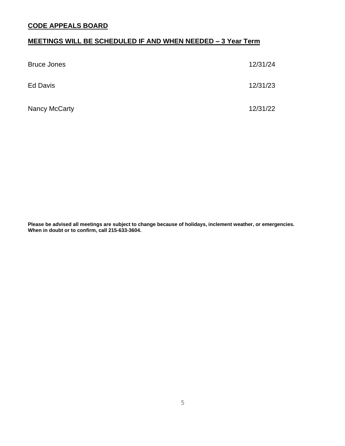#### **CODE APPEALS BOARD**

#### **MEETINGS WILL BE SCHEDULED IF AND WHEN NEEDED – 3 Year Term**

| <b>Bruce Jones</b> | 12/31/24 |
|--------------------|----------|
| Ed Davis           | 12/31/23 |
| Nancy McCarty      | 12/31/22 |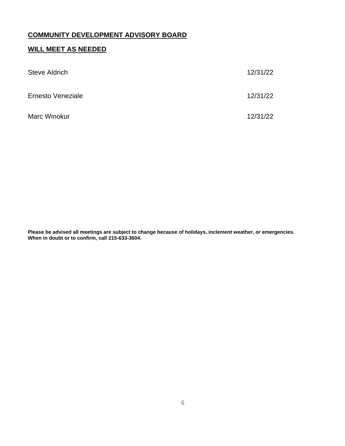#### **COMMUNITY DEVELOPMENT ADVISORY BOARD**

#### **WILL MEET AS NEEDED**

| <b>Steve Aldrich</b> | 12/31/22 |
|----------------------|----------|
| Ernesto Veneziale    | 12/31/22 |
| Marc Winokur         | 12/31/22 |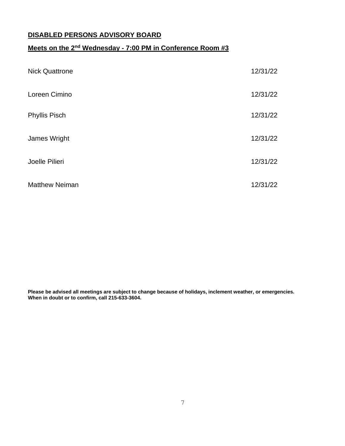#### **DISABLED PERSONS ADVISORY BOARD**

#### **Meets on the 2<sup>nd</sup> Wednesday - 7:00 PM in Conference Room #3**

| <b>Nick Quattrone</b> | 12/31/22 |
|-----------------------|----------|
| Loreen Cimino         | 12/31/22 |
| <b>Phyllis Pisch</b>  | 12/31/22 |
| James Wright          | 12/31/22 |
| Joelle Pilieri        | 12/31/22 |
| <b>Matthew Neiman</b> | 12/31/22 |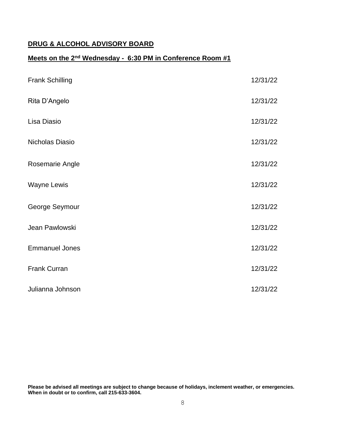#### **DRUG & ALCOHOL ADVISORY BOARD**

#### **Meets on the 2<sup>nd</sup> Wednesday - 6:30 PM in Conference Room #1**

| <b>Frank Schilling</b> | 12/31/22 |
|------------------------|----------|
| Rita D'Angelo          | 12/31/22 |
| Lisa Diasio            | 12/31/22 |
| Nicholas Diasio        | 12/31/22 |
| Rosemarie Angle        | 12/31/22 |
| <b>Wayne Lewis</b>     | 12/31/22 |
| George Seymour         | 12/31/22 |
| Jean Pawlowski         | 12/31/22 |
| <b>Emmanuel Jones</b>  | 12/31/22 |
| <b>Frank Curran</b>    | 12/31/22 |
| Julianna Johnson       | 12/31/22 |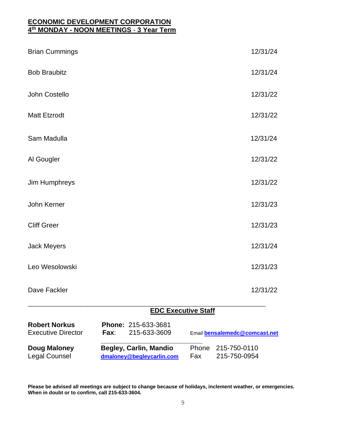#### **ECONOMIC DEVELOPMENT CORPORATION 4 th MONDAY - NOON MEETINGS** - **3 Year Term**

| <b>Robert Norkus</b><br><b>Executive Director</b> | Fax: | Phone: 215-633-3681<br>215-633-3609 | Email bensalemedc@comcast.net |
|---------------------------------------------------|------|-------------------------------------|-------------------------------|
|                                                   |      | <b>EDC Executive Staff</b>          |                               |
| Dave Fackler                                      |      |                                     | 12/31/22                      |
| Leo Wesolowski                                    |      |                                     | 12/31/23                      |
| <b>Jack Meyers</b>                                |      |                                     | 12/31/24                      |
| <b>Cliff Greer</b>                                |      |                                     | 12/31/23                      |
| John Kerner                                       |      |                                     | 12/31/23                      |
| Jim Humphreys                                     |      |                                     | 12/31/22                      |
| Al Gougler                                        |      |                                     | 12/31/22                      |
| Sam Madulla                                       |      |                                     | 12/31/24                      |
| <b>Matt Etzrodt</b>                               |      |                                     | 12/31/22                      |
| John Costello                                     |      |                                     | 12/31/22                      |
| <b>Bob Braubitz</b>                               |      |                                     | 12/31/24                      |
| <b>Brian Cummings</b>                             |      |                                     | 12/31/24                      |

**\_\_\_\_\_\_\_\_\_\_\_\_\_\_\_\_\_\_\_\_\_\_\_\_\_\_\_ Doug Maloney Begley, Carlin, Mandio** Phone 215-750-0110 Legal Counsel **[dmaloney@begleycarlin.com](mailto:dmaloney@begleycarlin.com)** Fax 215-750-0954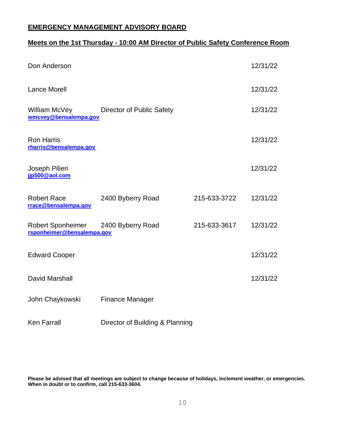#### **EMERGENCY MANAGEMENT ADVISORY BOARD**

#### **Meets on the 1st Thursday - 10:00 AM Director of Public Safety Conference Room**

| Don Anderson                                           |                                  |              | 12/31/22 |
|--------------------------------------------------------|----------------------------------|--------------|----------|
| <b>Lance Morell</b>                                    |                                  |              | 12/31/22 |
| William McVey<br>wmcvey@bensalempa.gov                 | <b>Director of Public Safety</b> |              | 12/31/22 |
| <b>Ron Harris</b><br>rharris@bensalempa.gov            |                                  |              | 12/31/22 |
| Joseph Pilieri<br>jjp500@aol.com                       |                                  |              | 12/31/22 |
| <b>Robert Race</b><br>rrace@bensalempa.gov             | 2400 Byberry Road                | 215-633-3722 | 12/31/22 |
| <b>Robert Sponheimer</b><br>rsponheimer@bensalempa.gov | 2400 Byberry Road                | 215-633-3617 | 12/31/22 |
| <b>Edward Cooper</b>                                   |                                  |              | 12/31/22 |
| David Marshall                                         |                                  |              | 12/31/22 |
| John Chaykowski                                        | <b>Finance Manager</b>           |              |          |
| <b>Ken Farrall</b>                                     | Director of Building & Planning  |              |          |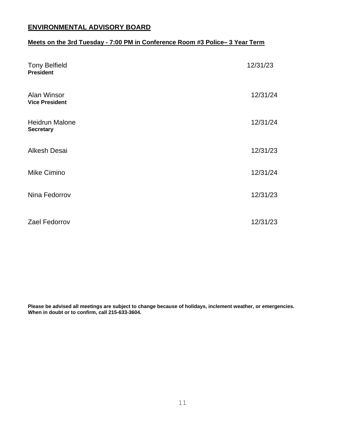#### **ENVIRONMENTAL ADVISORY BOARD**

#### **Meets on the 3rd Tuesday - 7:00 PM in Conference Room #3 Police– 3 Year Term**

| <b>Tony Belfield</b><br><b>President</b>  | 12/31/23 |
|-------------------------------------------|----------|
| Alan Winsor<br><b>Vice President</b>      | 12/31/24 |
| <b>Heidrun Malone</b><br><b>Secretary</b> | 12/31/24 |
| <b>Alkesh Desai</b>                       | 12/31/23 |
| Mike Cimino                               | 12/31/24 |
| Nina Fedorrov                             | 12/31/23 |
| Zael Fedorrov                             | 12/31/23 |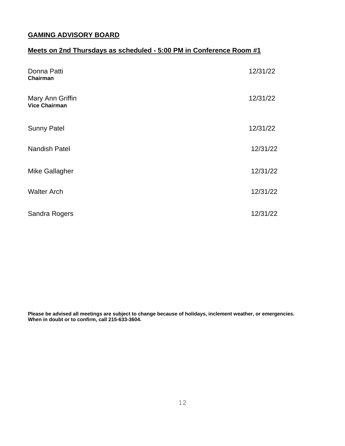#### **GAMING ADVISORY BOARD**

#### **Meets on 2nd Thursdays as scheduled - 5:00 PM in Conference Room #1**

| Donna Patti<br>Chairman                  | 12/31/22 |
|------------------------------------------|----------|
| Mary Ann Griffin<br><b>Vice Chairman</b> | 12/31/22 |
| <b>Sunny Patel</b>                       | 12/31/22 |
| Nandish Patel                            | 12/31/22 |
| Mike Gallagher                           | 12/31/22 |
| <b>Walter Arch</b>                       | 12/31/22 |
| Sandra Rogers                            | 12/31/22 |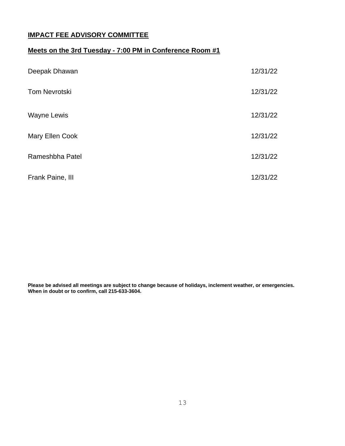#### **IMPACT FEE ADVISORY COMMITTEE**

#### **Meets on the 3rd Tuesday - 7:00 PM in Conference Room #1**

| Deepak Dhawan        | 12/31/22 |
|----------------------|----------|
| <b>Tom Nevrotski</b> | 12/31/22 |
| <b>Wayne Lewis</b>   | 12/31/22 |
| Mary Ellen Cook      | 12/31/22 |
| Rameshbha Patel      | 12/31/22 |
| Frank Paine, III     | 12/31/22 |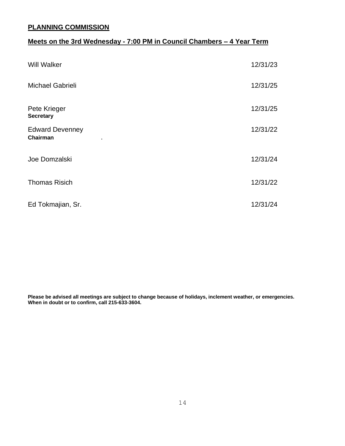#### **PLANNING COMMISSION**

#### **Meets on the 3rd Wednesday - 7:00 PM in Council Chambers – 4 Year Term**

| <b>Will Walker</b>                 | 12/31/23 |
|------------------------------------|----------|
| Michael Gabrieli                   | 12/31/25 |
| Pete Krieger<br><b>Secretary</b>   | 12/31/25 |
| <b>Edward Devenney</b><br>Chairman | 12/31/22 |
| Joe Domzalski                      | 12/31/24 |
| <b>Thomas Risich</b>               | 12/31/22 |
| Ed Tokmajian, Sr.                  | 12/31/24 |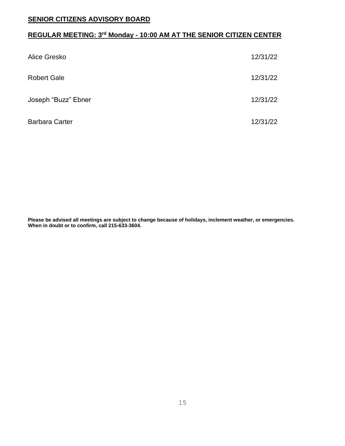#### **SENIOR CITIZENS ADVISORY BOARD**

#### **REGULAR MEETING: 3 rd Monday - 10:00 AM AT THE SENIOR CITIZEN CENTER**

| Alice Gresko          | 12/31/22 |
|-----------------------|----------|
| <b>Robert Gale</b>    | 12/31/22 |
| Joseph "Buzz" Ebner   | 12/31/22 |
| <b>Barbara Carter</b> | 12/31/22 |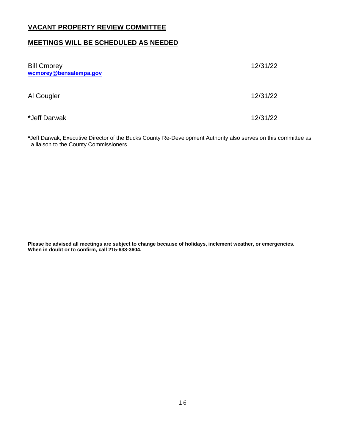#### **VACANT PROPERTY REVIEW COMMITTEE**

#### **MEETINGS WILL BE SCHEDULED AS NEEDED**

| <b>Bill Cmorey</b><br>wcmorey@bensalempa.gov | 12/31/22 |
|----------------------------------------------|----------|
| Al Gougler                                   | 12/31/22 |
| *Jeff Darwak                                 | 12/31/22 |

**\***Jeff Darwak, Executive Director of the Bucks County Re-Development Authority also serves on this committee as a liaison to the County Commissioners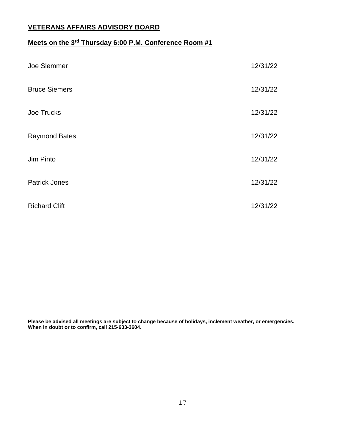#### **VETERANS AFFAIRS ADVISORY BOARD**

#### **Meets on the 3 rd Thursday 6:00 P.M. Conference Room #1**

| Joe Slemmer          | 12/31/22 |
|----------------------|----------|
| <b>Bruce Siemers</b> | 12/31/22 |
| Joe Trucks           | 12/31/22 |
| <b>Raymond Bates</b> | 12/31/22 |
| Jim Pinto            | 12/31/22 |
| <b>Patrick Jones</b> | 12/31/22 |
| <b>Richard Clift</b> | 12/31/22 |